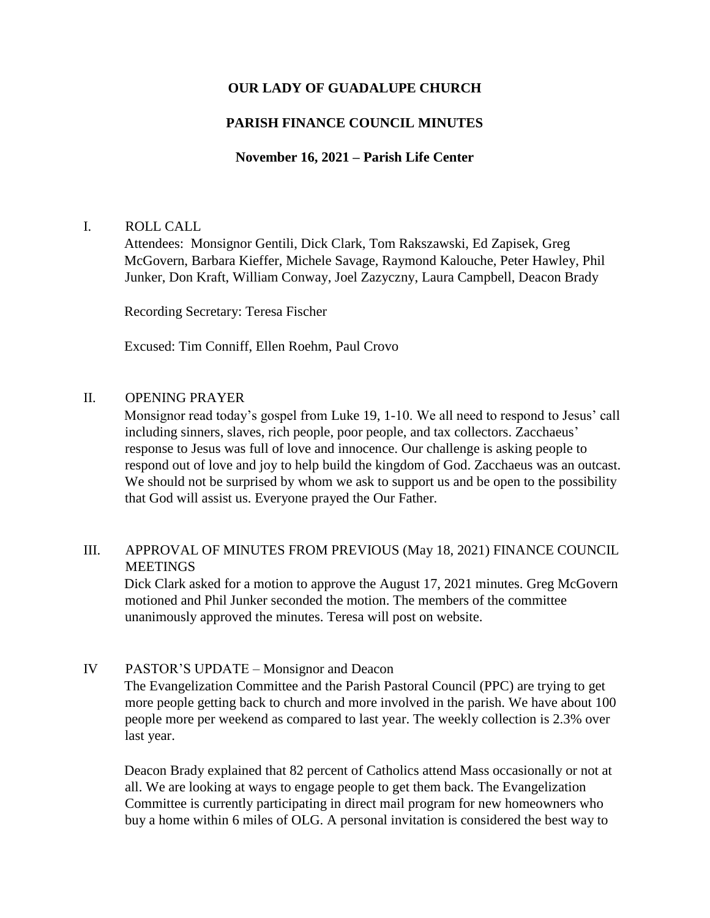# **OUR LADY OF GUADALUPE CHURCH**

# **PARISH FINANCE COUNCIL MINUTES**

## **November 16, 2021 – Parish Life Center**

### I. ROLL CALL

Attendees: Monsignor Gentili, Dick Clark, Tom Rakszawski, Ed Zapisek, Greg McGovern, Barbara Kieffer, Michele Savage, Raymond Kalouche, Peter Hawley, Phil Junker, Don Kraft, William Conway, Joel Zazyczny, Laura Campbell, Deacon Brady

Recording Secretary: Teresa Fischer

Excused: Tim Conniff, Ellen Roehm, Paul Crovo

### II. OPENING PRAYER

Monsignor read today's gospel from Luke 19, 1-10. We all need to respond to Jesus' call including sinners, slaves, rich people, poor people, and tax collectors. Zacchaeus' response to Jesus was full of love and innocence. Our challenge is asking people to respond out of love and joy to help build the kingdom of God. Zacchaeus was an outcast. We should not be surprised by whom we ask to support us and be open to the possibility that God will assist us. Everyone prayed the Our Father.

## III. APPROVAL OF MINUTES FROM PREVIOUS (May 18, 2021) FINANCE COUNCIL **MEETINGS**

Dick Clark asked for a motion to approve the August 17, 2021 minutes. Greg McGovern motioned and Phil Junker seconded the motion. The members of the committee unanimously approved the minutes. Teresa will post on website.

### IV PASTOR'S UPDATE – Monsignor and Deacon

The Evangelization Committee and the Parish Pastoral Council (PPC) are trying to get more people getting back to church and more involved in the parish. We have about 100 people more per weekend as compared to last year. The weekly collection is 2.3% over last year.

Deacon Brady explained that 82 percent of Catholics attend Mass occasionally or not at all. We are looking at ways to engage people to get them back. The Evangelization Committee is currently participating in direct mail program for new homeowners who buy a home within 6 miles of OLG. A personal invitation is considered the best way to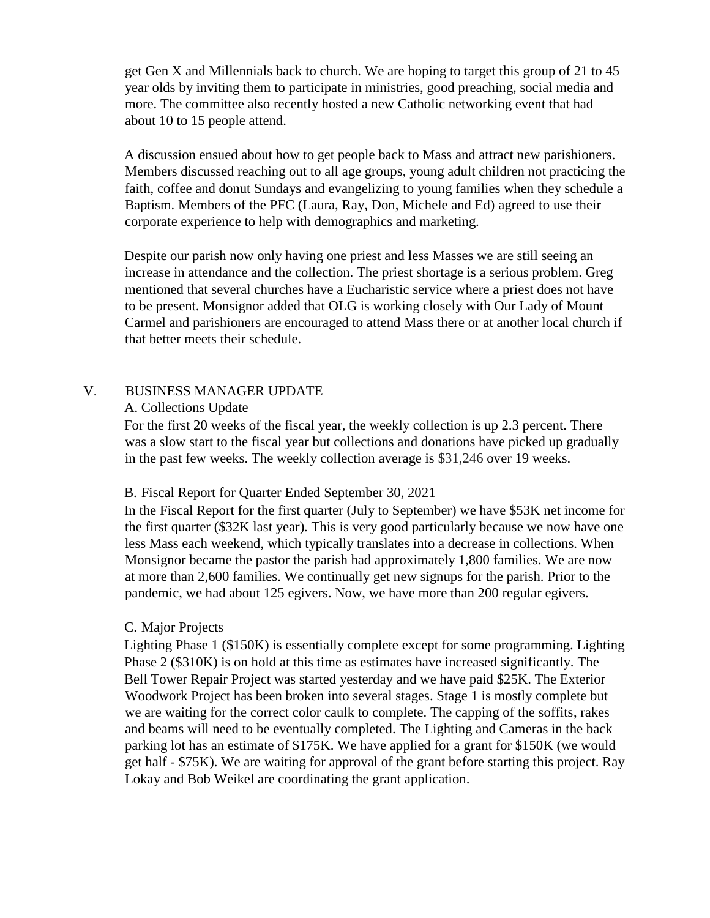get Gen X and Millennials back to church. We are hoping to target this group of 21 to 45 year olds by inviting them to participate in ministries, good preaching, social media and more. The committee also recently hosted a new Catholic networking event that had about 10 to 15 people attend.

A discussion ensued about how to get people back to Mass and attract new parishioners. Members discussed reaching out to all age groups, young adult children not practicing the faith, coffee and donut Sundays and evangelizing to young families when they schedule a Baptism. Members of the PFC (Laura, Ray, Don, Michele and Ed) agreed to use their corporate experience to help with demographics and marketing.

Despite our parish now only having one priest and less Masses we are still seeing an increase in attendance and the collection. The priest shortage is a serious problem. Greg mentioned that several churches have a Eucharistic service where a priest does not have to be present. Monsignor added that OLG is working closely with Our Lady of Mount Carmel and parishioners are encouraged to attend Mass there or at another local church if that better meets their schedule.

## V. BUSINESS MANAGER UPDATE

#### A. Collections Update

For the first 20 weeks of the fiscal year, the weekly collection is up 2.3 percent. There was a slow start to the fiscal year but collections and donations have picked up gradually in the past few weeks. The weekly collection average is \$31,246 over 19 weeks.

### B. Fiscal Report for Quarter Ended September 30, 2021

In the Fiscal Report for the first quarter (July to September) we have \$53K net income for the first quarter (\$32K last year). This is very good particularly because we now have one less Mass each weekend, which typically translates into a decrease in collections. When Monsignor became the pastor the parish had approximately 1,800 families. We are now at more than 2,600 families. We continually get new signups for the parish. Prior to the pandemic, we had about 125 egivers. Now, we have more than 200 regular egivers.

### C. Major Projects

Lighting Phase 1 (\$150K) is essentially complete except for some programming. Lighting Phase 2 (\$310K) is on hold at this time as estimates have increased significantly. The Bell Tower Repair Project was started yesterday and we have paid \$25K. The Exterior Woodwork Project has been broken into several stages. Stage 1 is mostly complete but we are waiting for the correct color caulk to complete. The capping of the soffits, rakes and beams will need to be eventually completed. The Lighting and Cameras in the back parking lot has an estimate of \$175K. We have applied for a grant for \$150K (we would get half - \$75K). We are waiting for approval of the grant before starting this project. Ray Lokay and Bob Weikel are coordinating the grant application.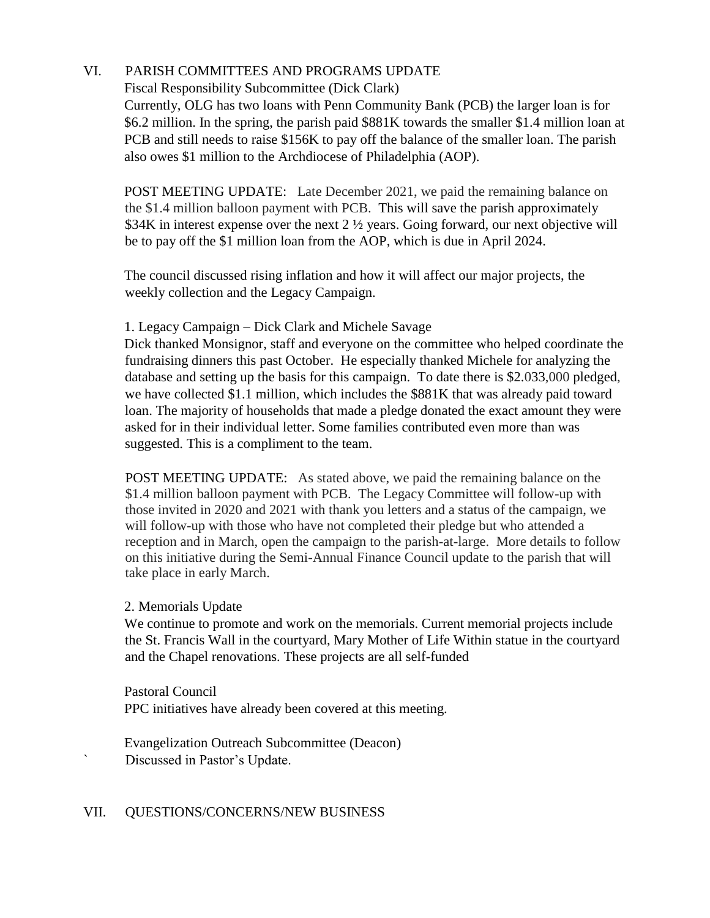# VI. PARISH COMMITTEES AND PROGRAMS UPDATE

Fiscal Responsibility Subcommittee (Dick Clark)

Currently, OLG has two loans with Penn Community Bank (PCB) the larger loan is for \$6.2 million. In the spring, the parish paid \$881K towards the smaller \$1.4 million loan at PCB and still needs to raise \$156K to pay off the balance of the smaller loan. The parish also owes \$1 million to the Archdiocese of Philadelphia (AOP).

POST MEETING UPDATE: Late December 2021, we paid the remaining balance on the \$1.4 million balloon payment with PCB. This will save the parish approximately \$34K in interest expense over the next 2  $\frac{1}{2}$  years. Going forward, our next objective will be to pay off the \$1 million loan from the AOP, which is due in April 2024.

The council discussed rising inflation and how it will affect our major projects, the weekly collection and the Legacy Campaign.

# 1. Legacy Campaign – Dick Clark and Michele Savage

Dick thanked Monsignor, staff and everyone on the committee who helped coordinate the fundraising dinners this past October. He especially thanked Michele for analyzing the database and setting up the basis for this campaign. To date there is \$2.033,000 pledged, we have collected \$1.1 million, which includes the \$881K that was already paid toward loan. The majority of households that made a pledge donated the exact amount they were asked for in their individual letter. Some families contributed even more than was suggested. This is a compliment to the team.

POST MEETING UPDATE: As stated above, we paid the remaining balance on the \$1.4 million balloon payment with PCB. The Legacy Committee will follow-up with those invited in 2020 and 2021 with thank you letters and a status of the campaign, we will follow-up with those who have not completed their pledge but who attended a reception and in March, open the campaign to the parish-at-large. More details to follow on this initiative during the Semi-Annual Finance Council update to the parish that will take place in early March.

# 2. Memorials Update

We continue to promote and work on the memorials. Current memorial projects include the St. Francis Wall in the courtyard, Mary Mother of Life Within statue in the courtyard and the Chapel renovations. These projects are all self-funded

Pastoral Council PPC initiatives have already been covered at this meeting.

Evangelization Outreach Subcommittee (Deacon) Discussed in Pastor's Update.

### VII. QUESTIONS/CONCERNS/NEW BUSINESS